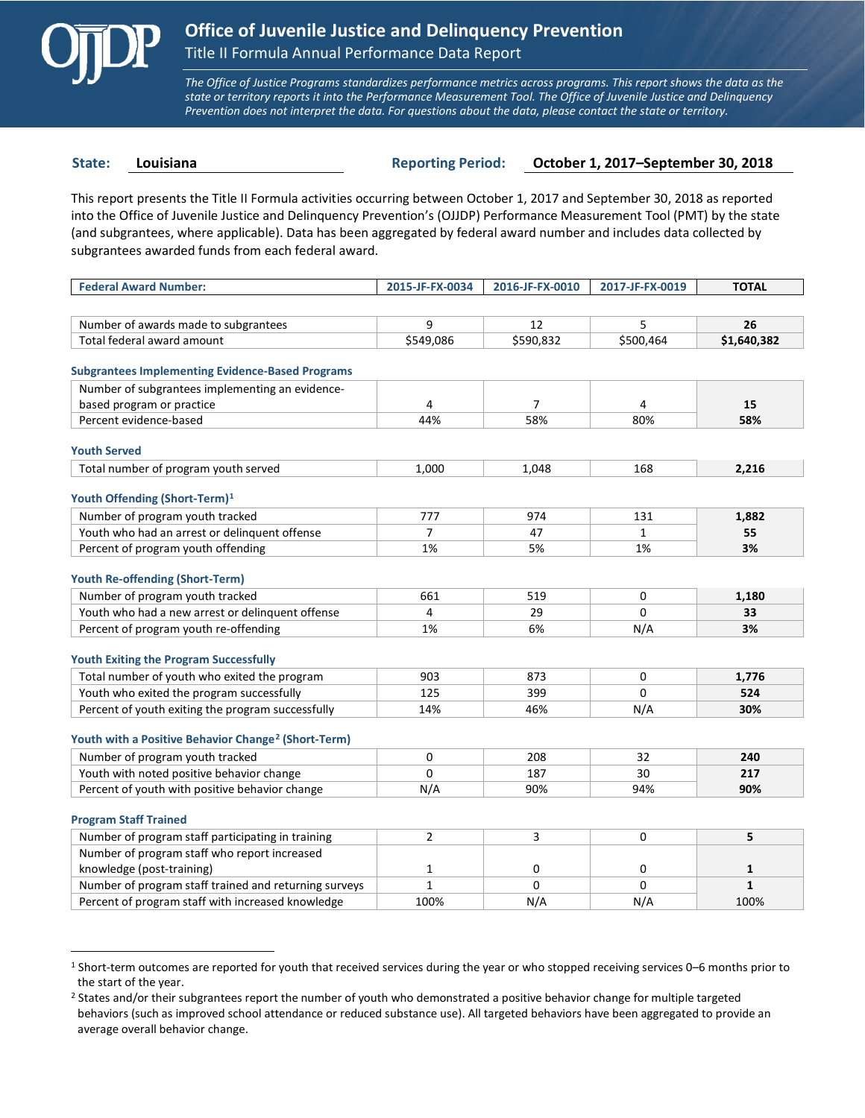

 $\overline{a}$ 

*The Office of Justice Programs standardizes performance metrics across programs. This report shows the data as the state or territory reports it into the Performance Measurement Tool. The Office of Juvenile Justice and Delinquency Prevention does not interpret the data. For questions about the data, please contact the state or territory.*

**State: Louisiana Reporting Period: October 1, 2017–September 30, 2018**

This report presents the Title II Formula activities occurring between October 1, 2017 and September 30, 2018 as reported into the Office of Juvenile Justice and Delinquency Prevention's (OJJDP) Performance Measurement Tool (PMT) by the state (and subgrantees, where applicable). Data has been aggregated by federal award number and includes data collected by subgrantees awarded funds from each federal award.

| <b>Federal Award Number:</b>                                    | 2015-JF-FX-0034 | 2016-JF-FX-0010 | 2017-JF-FX-0019 | <b>TOTAL</b> |
|-----------------------------------------------------------------|-----------------|-----------------|-----------------|--------------|
|                                                                 |                 |                 |                 |              |
| Number of awards made to subgrantees                            | 9               | 12              | 5               | 26           |
| Total federal award amount                                      | \$549,086       | \$590,832       | \$500,464       | \$1,640,382  |
|                                                                 |                 |                 |                 |              |
| <b>Subgrantees Implementing Evidence-Based Programs</b>         |                 |                 |                 |              |
| Number of subgrantees implementing an evidence-                 |                 |                 |                 |              |
| based program or practice                                       | 4               | $\overline{7}$  | 4               | 15           |
| Percent evidence-based                                          | 44%             | 58%             | 80%             | 58%          |
| <b>Youth Served</b>                                             |                 |                 |                 |              |
| Total number of program youth served                            | 1,000           | 1,048           | 168             | 2,216        |
|                                                                 |                 |                 |                 |              |
| Youth Offending (Short-Term) <sup>1</sup>                       |                 |                 |                 |              |
| Number of program youth tracked                                 | 777             | 974             | 131             | 1,882        |
| Youth who had an arrest or delinquent offense                   | 7               | 47              | $\mathbf{1}$    | 55           |
| Percent of program youth offending                              | 1%              | 5%              | 1%              | 3%           |
|                                                                 |                 |                 |                 |              |
| <b>Youth Re-offending (Short-Term)</b>                          |                 |                 |                 |              |
| Number of program youth tracked                                 | 661             | 519             | 0               | 1,180        |
| Youth who had a new arrest or delinguent offense                | 4               | 29              | 0               | 33           |
| Percent of program youth re-offending                           | 1%              | 6%              | N/A             | 3%           |
| <b>Youth Exiting the Program Successfully</b>                   |                 |                 |                 |              |
| Total number of youth who exited the program                    | 903             | 873             | $\Omega$        | 1.776        |
| Youth who exited the program successfully                       | 125             | 399             | $\Omega$        | 524          |
| Percent of youth exiting the program successfully               | 14%             | 46%             | N/A             | 30%          |
|                                                                 |                 |                 |                 |              |
| Youth with a Positive Behavior Change <sup>2</sup> (Short-Term) |                 |                 |                 |              |
| Number of program youth tracked                                 | 0               | 208             | 32              | 240          |
| Youth with noted positive behavior change                       | $\Omega$        | 187             | 30              | 217          |
| Percent of youth with positive behavior change                  | N/A             | 90%             | 94%             | 90%          |
|                                                                 |                 |                 |                 |              |
| <b>Program Staff Trained</b>                                    |                 |                 |                 |              |
| Number of program staff participating in training               | $\overline{2}$  | 3               | 0               | 5            |
| Number of program staff who report increased                    |                 |                 |                 |              |
| knowledge (post-training)                                       | $\mathbf 1$     | 0               | 0               | $\mathbf{1}$ |
| Number of program staff trained and returning surveys           | $\mathbf{1}$    | 0               | 0               | $\mathbf{1}$ |
| Percent of program staff with increased knowledge               | 100%            | N/A             | N/A             | 100%         |

<span id="page-0-0"></span><sup>1</sup> Short-term outcomes are reported for youth that received services during the year or who stopped receiving services 0–6 months prior to the start of the year.

<span id="page-0-1"></span><sup>&</sup>lt;sup>2</sup> States and/or their subgrantees report the number of youth who demonstrated a positive behavior change for multiple targeted behaviors (such as improved school attendance or reduced substance use). All targeted behaviors have been aggregated to provide an average overall behavior change.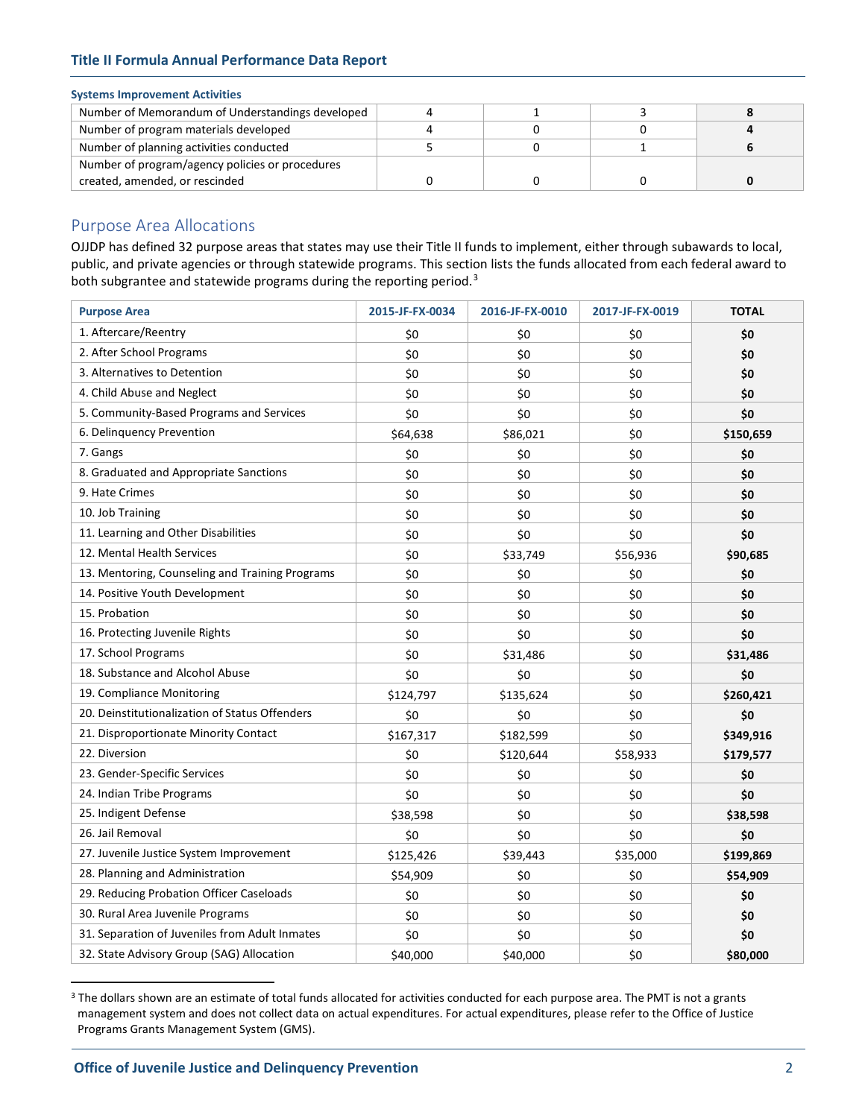# **Title II Formula Annual Performance Data Report**

### **Systems Improvement Activities**

| Number of Memorandum of Understandings developed |  |  |
|--------------------------------------------------|--|--|
| Number of program materials developed            |  |  |
| Number of planning activities conducted          |  |  |
| Number of program/agency policies or procedures  |  |  |
| created, amended, or rescinded                   |  |  |

# Purpose Area Allocations

OJJDP has defined 32 purpose areas that states may use their Title II funds to implement, either through subawards to local, public, and private agencies or through statewide programs. This section lists the funds allocated from each federal award to both subgrantee and statewide programs during the reporting period.<sup>[3](#page-1-0)</sup>

| <b>Purpose Area</b>                             | 2015-JF-FX-0034 | 2016-JF-FX-0010 | 2017-JF-FX-0019 | <b>TOTAL</b> |
|-------------------------------------------------|-----------------|-----------------|-----------------|--------------|
| 1. Aftercare/Reentry                            | \$0             | \$0             | \$0             | \$0          |
| 2. After School Programs                        | \$0             | \$0             | \$0             | \$0          |
| 3. Alternatives to Detention                    | \$0             | \$0             | \$0             | \$0          |
| 4. Child Abuse and Neglect                      | \$0             | \$0             | \$0             | \$0          |
| 5. Community-Based Programs and Services        | \$0             | \$0             | \$0             | \$0          |
| 6. Delinquency Prevention                       | \$64,638        | \$86,021        | \$0             | \$150,659    |
| 7. Gangs                                        | \$0             | \$0             | \$0             | \$0          |
| 8. Graduated and Appropriate Sanctions          | \$0             | \$0             | \$0             | \$0          |
| 9. Hate Crimes                                  | \$0             | \$0             | \$0             | \$0          |
| 10. Job Training                                | \$0             | \$0             | \$0             | \$0          |
| 11. Learning and Other Disabilities             | \$0             | \$0             | \$0             | \$0          |
| 12. Mental Health Services                      | \$0             | \$33,749        | \$56,936        | \$90,685     |
| 13. Mentoring, Counseling and Training Programs | \$0             | \$0             | \$0             | \$0          |
| 14. Positive Youth Development                  | \$0             | \$0             | \$0             | \$0          |
| 15. Probation                                   | \$0             | \$0             | \$0             | \$0          |
| 16. Protecting Juvenile Rights                  | \$0             | \$0             | \$0             | \$0          |
| 17. School Programs                             | \$0             | \$31,486        | \$0             | \$31,486     |
| 18. Substance and Alcohol Abuse                 | \$0             | \$0             | \$0             | \$0          |
| 19. Compliance Monitoring                       | \$124,797       | \$135,624       | \$0             | \$260,421    |
| 20. Deinstitutionalization of Status Offenders  | \$0             | \$0             | \$0             | \$0          |
| 21. Disproportionate Minority Contact           | \$167,317       | \$182,599       | \$0             | \$349,916    |
| 22. Diversion                                   | \$0             | \$120,644       | \$58,933        | \$179,577    |
| 23. Gender-Specific Services                    | \$0             | \$0             | \$0             | \$0          |
| 24. Indian Tribe Programs                       | \$0             | \$0             | \$0             | \$0          |
| 25. Indigent Defense                            | \$38,598        | \$0             | \$0             | \$38,598     |
| 26. Jail Removal                                | \$0             | \$0             | \$0             | \$0          |
| 27. Juvenile Justice System Improvement         | \$125,426       | \$39,443        | \$35,000        | \$199,869    |
| 28. Planning and Administration                 | \$54,909        | \$0             | \$0             | \$54,909     |
| 29. Reducing Probation Officer Caseloads        | \$0             | \$0             | \$0             | \$0          |
| 30. Rural Area Juvenile Programs                | \$0             | \$0             | \$0             | \$0          |
| 31. Separation of Juveniles from Adult Inmates  | \$0             | \$0             | \$0             | \$0          |
| 32. State Advisory Group (SAG) Allocation       | \$40,000        | \$40,000        | \$0             | \$80,000     |

<span id="page-1-0"></span><sup>&</sup>lt;sup>3</sup> The dollars shown are an estimate of total funds allocated for activities conducted for each purpose area. The PMT is not a grants management system and does not collect data on actual expenditures. For actual expenditures, please refer to the Office of Justice Programs Grants Management System (GMS).

 $\overline{a}$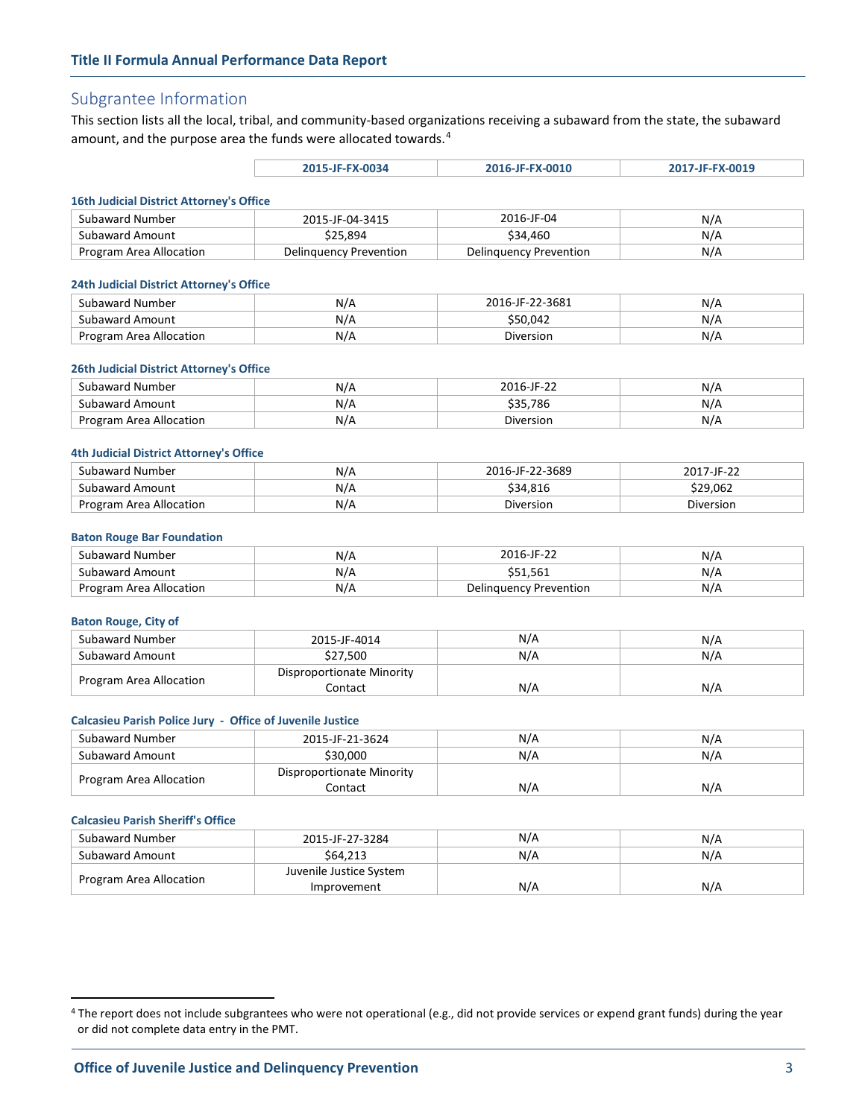# Subgrantee Information

This section lists all the local, tribal, and community-based organizations receiving a subaward from the state, the subaward amount, and the purpose area the funds were allocated towards.<sup>[4](#page-2-0)</sup>

| 2015-JF-FX-0034 | 2016-JF-FX-0010 | 2017-JF-FX-0019 |
|-----------------|-----------------|-----------------|
|                 |                 |                 |

#### **16th Judicial District Attorney's Office**

| Subaward Number         | 2015-JF-04-3415        | 2016-JF-04             | N/A |  |  |
|-------------------------|------------------------|------------------------|-----|--|--|
| Subaward Amount         | \$25.894               | \$34.460               | N/A |  |  |
| Program Area Allocation | Delinguency Prevention | Delinguency Prevention | N/A |  |  |

#### **24th Judicial District Attorney's Office**

| Subaward Number              | N/r | 2016-JF-22-3681 | N/  |
|------------------------------|-----|-----------------|-----|
| Subaward Amount              | N/A | \$50.042        | N/  |
| Area Allocation ا<br>Program | N/A | Diversion       | N/A |

#### **26th Judicial District Attorney's Office**

| Subaward Number            | N/A | 201.<br>$\overline{16}$ -IF-22 | N/  |
|----------------------------|-----|--------------------------------|-----|
| Subaward Amount            | N/A | \$35.786                       | N/r |
| Area Allocation<br>Program | N/A | Diversion                      | N/A |

#### **4th Judicial District Attorney's Office**

| Subaward Number         | N/A | 2016-JF-22-3689 | 2017-IF-22 |
|-------------------------|-----|-----------------|------------|
| Subaward Amount         | N/A | \$34.816        | \$29.062   |
| Program Area Allocation | N/A | Diversion       | Diversion  |

#### **Baton Rouge Bar Foundation**

| Subaward Number         | N/A | 2016-IF-22             | N/F      |
|-------------------------|-----|------------------------|----------|
| Subaward Amount         | N/A | \$51.561               | $N/\ell$ |
| Program Area Allocation | N/A | Delinguency Prevention | N/A      |

#### **Baton Rouge, City of**

| Subaward Number         | 2015-JF-4014              | N/A | N/A |
|-------------------------|---------------------------|-----|-----|
| Subaward Amount         | \$27.500                  | N/A | N/A |
|                         | Disproportionate Minority |     |     |
| Program Area Allocation | Contact                   | N/A | N/A |

#### **Calcasieu Parish Police Jury - Office of Juvenile Justice**

| Subaward Number         | 2015-JF-21-3624           | N/A | N/A |
|-------------------------|---------------------------|-----|-----|
| Subaward Amount         | \$30,000                  | N/A | N/A |
| Program Area Allocation | Disproportionate Minority |     |     |
|                         | Contact                   | N/A | N/A |

#### **Calcasieu Parish Sheriff's Office**

 $\overline{a}$ 

| Subaward Number         | 2015-JF-27-3284         | N/A | N/A |
|-------------------------|-------------------------|-----|-----|
| Subaward Amount         | \$64,213                | N/A | N/A |
| Program Area Allocation | Juvenile Justice System |     |     |
|                         | Improvement             | N/A | N/A |

<span id="page-2-0"></span><sup>&</sup>lt;sup>4</sup> The report does not include subgrantees who were not operational (e.g., did not provide services or expend grant funds) during the year or did not complete data entry in the PMT.